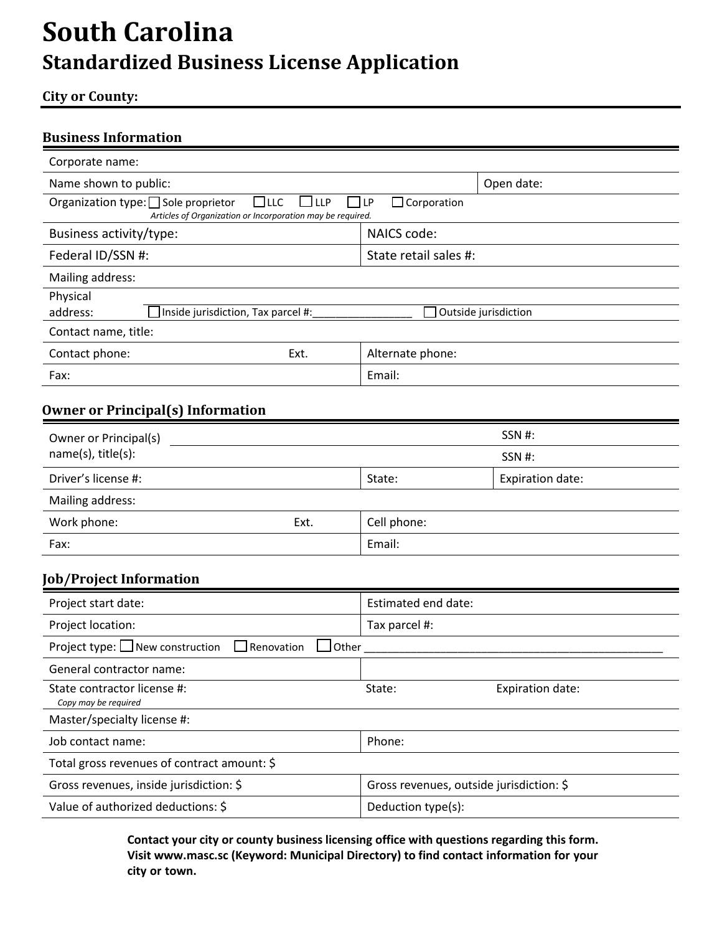# **South Carolina Standardized Business License Application**

### **City or County:**

### **Business Information**

| Corporate name:                                                                                                                                                           |                       |  |  |  |
|---------------------------------------------------------------------------------------------------------------------------------------------------------------------------|-----------------------|--|--|--|
| Name shown to public:                                                                                                                                                     | Open date:            |  |  |  |
| Organization type: $\Box$ Sole proprietor<br>$\Box$ LLC<br>$\Box$ Corporation<br><b>ILP</b><br>$\mathsf{I}$<br>Articles of Organization or Incorporation may be required. |                       |  |  |  |
| Business activity/type:                                                                                                                                                   | NAICS code:           |  |  |  |
| Federal ID/SSN #:                                                                                                                                                         | State retail sales #: |  |  |  |
| Mailing address:                                                                                                                                                          |                       |  |  |  |
| Physical                                                                                                                                                                  |                       |  |  |  |
| Inside jurisdiction, Tax parcel #:<br>address:                                                                                                                            | Outside jurisdiction  |  |  |  |
| Contact name, title:                                                                                                                                                      |                       |  |  |  |
| Contact phone:<br>Ext.                                                                                                                                                    | Alternate phone:      |  |  |  |
| Fax:                                                                                                                                                                      | Email:                |  |  |  |

# **Owner or Principal(s) Information**

| Owner or Principal(s)<br>name(s), title(s): |      |             | SSN #:           |
|---------------------------------------------|------|-------------|------------------|
|                                             |      |             | SSN #:           |
| Driver's license #:                         |      | State:      | Expiration date: |
| Mailing address:                            |      |             |                  |
| Work phone:                                 | Ext. | Cell phone: |                  |
| Fax:                                        |      | Email:      |                  |

# **Job/Project Information**

| Project start date:                                                        | Estimated end date:                      |  |  |  |
|----------------------------------------------------------------------------|------------------------------------------|--|--|--|
| Project location:                                                          | Tax parcel #:                            |  |  |  |
| Project type: $\Box$ New construction<br>$\Box$ Renovation<br>$\Box$ Other |                                          |  |  |  |
| General contractor name:                                                   |                                          |  |  |  |
| State contractor license #:<br>Copy may be required                        | Expiration date:<br>State:               |  |  |  |
| Master/specialty license #:                                                |                                          |  |  |  |
| Job contact name:                                                          | Phone:                                   |  |  |  |
| Total gross revenues of contract amount: \$                                |                                          |  |  |  |
| Gross revenues, inside jurisdiction: \$                                    | Gross revenues, outside jurisdiction: \$ |  |  |  |
| Value of authorized deductions: \$                                         | Deduction type(s):                       |  |  |  |

**Contact your city or county business licensing office with questions regarding this form. Visit www.masc.sc (Keyword: Municipal Directory) to find contact information for your city or town.**